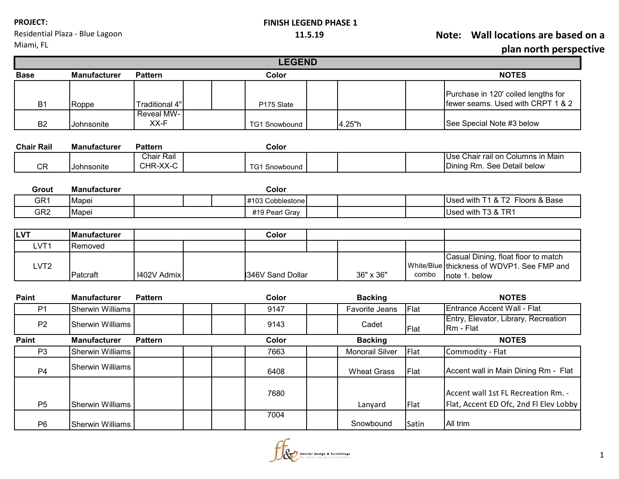Residential Plaza - Blue Lagoon

### **FINISH LEGEND PHASE 1**

**11.5.19 Note: Wall locations are based on a** 

ive

|                   |                         |                               | <b>LEGEND</b>        |                    |                     | plan north perspecti                                                                    |
|-------------------|-------------------------|-------------------------------|----------------------|--------------------|---------------------|-----------------------------------------------------------------------------------------|
| <b>Base</b>       | <b>Manufacturer</b>     | <b>Pattern</b>                | Color                |                    |                     | <b>NOTES</b>                                                                            |
|                   |                         |                               |                      |                    |                     |                                                                                         |
| B <sub>1</sub>    | Roppe                   | Traditional 4"                | P175 Slate           |                    |                     | Purchase in 120' coiled lengths for<br>fewer seams. Used with CRPT 1 & 2                |
| <b>B2</b>         | Johnsonite              | Reveal MW-<br>XX-F            | <b>TG1 Snowbound</b> | 4.25"h             |                     | See Special Note #3 below                                                               |
| <b>Chair Rail</b> | <b>Manufacturer</b>     | <b>Pattern</b>                | Color                |                    |                     |                                                                                         |
| <b>CR</b>         | Johnsonite              | <b>Chair Rail</b><br>CHR-XX-C | <b>TG1 Snowbound</b> |                    |                     | Use Chair rail on Columns in Main<br>Dining Rm. See Detail below                        |
| Grout             | <b>Manufacturer</b>     |                               | Color                |                    |                     |                                                                                         |
| GR <sub>1</sub>   | Mapei                   |                               | #103 Cobblestone     |                    |                     | Used with T1 & T2 Floors & Base                                                         |
| GR <sub>2</sub>   | Mapei                   |                               | #19 Pearl Gray       |                    |                     | Used with T3 & TR1                                                                      |
| <b>LVT</b>        | Manufacturer            |                               | Color                |                    |                     |                                                                                         |
| LVT1              | Removed                 |                               |                      |                    |                     |                                                                                         |
| LVT <sub>2</sub>  | Patcraft                | I402V Admix                   | 346V Sand Dollar     | 36" x 36"          | White/Blue<br>combo | Casual Dining, float floor to match<br>thickness of WDVP1, See FMP and<br>note 1. below |
| Paint             | <b>Manufacturer</b>     | <b>Pattern</b>                | Color                | <b>Backing</b>     |                     | <b>NOTES</b>                                                                            |
| P <sub>1</sub>    | <b>Sherwin Williams</b> |                               | 9147                 | Favorite Jeans     | Flat                | <b>Entrance Accent Wall - Flat</b>                                                      |
| P <sub>2</sub>    | <b>Sherwin Williams</b> |                               | 9143                 | Cadet              | Flat                | Entry, Elevator, Library, Recreation<br>Rm - Flat                                       |
| Paint             | <b>Manufacturer</b>     | <b>Pattern</b>                | Color                | <b>Backing</b>     |                     | <b>NOTES</b>                                                                            |
| P <sub>3</sub>    | <b>Sherwin Williams</b> |                               | 7663                 | Monorail Silver    | Flat                | Commodity - Flat                                                                        |
| P <sub>4</sub>    | <b>Sherwin Williams</b> |                               | 6408                 | <b>Wheat Grass</b> | Flat                | Accent wall in Main Dining Rm - Flat                                                    |
| P <sub>5</sub>    | <b>Sherwin Williams</b> |                               | 7680                 | Lanyard            | Flat                | Accent wall 1st FL Recreation Rm. -<br>Flat, Accent ED Ofc, 2nd Fl Elev Lobby           |
| P <sub>6</sub>    | <b>Sherwin Williams</b> |                               | 7004                 | Snowbound          | Satin               | All trim                                                                                |

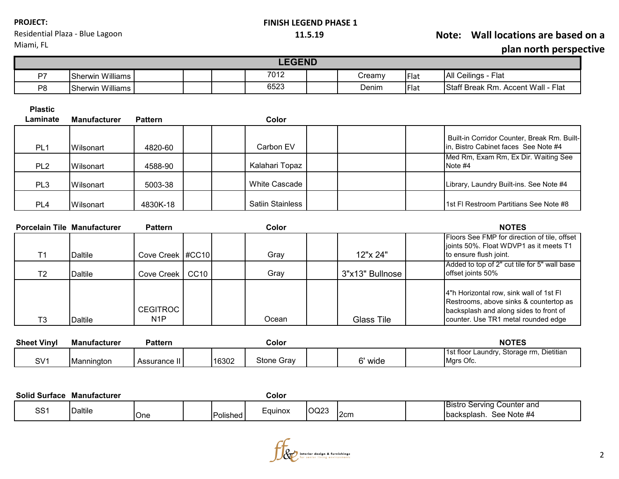| <b>PROJECT:</b> |  |  |
|-----------------|--|--|
|-----------------|--|--|

Residential Plaza - Blue Lagoon

#### **FINISH LEGEND PHASE 1**

## **11.5.19 Note: Wall locations are based on a plan north perspective**

Miami, FL Г **LEGEND** 

| n7                   | .<br>illiams<br>Sherwin |  | 7012 | لream∨ | <b>IFlat</b> | IAII<br>Ceilings<br>Flat                                         |
|----------------------|-------------------------|--|------|--------|--------------|------------------------------------------------------------------|
| <b>P<sub>R</sub></b> | <br>illiams<br>Sherwin  |  | 6523 | Denim  | <b>IFlat</b> | <b>Staff B</b><br>Accent Wall -<br>Flat<br>-<br>. Break ⊑<br>Rm. |

**Plastic** 

| Laminate        | <b>Manufacturer</b> | <b>Pattern</b> | Color                   |  |                                                                                     |
|-----------------|---------------------|----------------|-------------------------|--|-------------------------------------------------------------------------------------|
| PL <sub>1</sub> | Wilsonart           | 4820-60        | Carbon EV               |  | Built-in Corridor Counter, Break Rm. Built-<br>In, Bistro Cabinet faces See Note #4 |
| PL <sub>2</sub> | Wilsonart           | 4588-90        | Kalahari Topaz          |  | Med Rm, Exam Rm, Ex Dir. Waiting See<br>Note #4                                     |
| PL3             | <b>IWilsonart</b>   | 5003-38        | White Cascade           |  | Library, Laundry Built-ins. See Note #4                                             |
| PL <sub>4</sub> | Wilsonart           | 4830K-18       | <b>Satiin Stainless</b> |  | I1st FI Restroom Partitians See Note #8                                             |

| <b>Porcelain Tile Manufacturer</b> |                | <b>Pattern</b>                      |                  | Color |                   | <b>NOTES</b>                                                                                                                                                       |
|------------------------------------|----------------|-------------------------------------|------------------|-------|-------------------|--------------------------------------------------------------------------------------------------------------------------------------------------------------------|
|                                    | <b>Daltile</b> | Cove Creek   #CC10                  |                  | Gray  | 12"x 24"          | Floors See FMP for direction of tile, offset<br>joints 50%. Float WDVP1 as it meets T1<br>to ensure flush joint.                                                   |
| T <sub>2</sub>                     | Daltile        | Cove Creek                          | CC <sub>10</sub> | Gray  | 3"x13" Bullnose   | Added to top of 2" cut tile for 5" wall base<br>offset joints 50%                                                                                                  |
| T3                                 | <b>Daltile</b> | <b>CEGITROC</b><br>N <sub>1</sub> P |                  | Ocean | <b>Glass Tile</b> | 4"h Horizontal row, sink wall of 1st FI<br>Restrooms, above sinks & countertop as<br>backsplash and along sides to front of<br>counter. Use TR1 metal rounded edge |

| <b>Sheet Vinyl</b> | <b>Manufacturer</b> | Pattern        |       | Color      |                  | <b>NOTES</b>                                                |
|--------------------|---------------------|----------------|-------|------------|------------------|-------------------------------------------------------------|
| SV <sub>1</sub>    | Mannington          | Assurance II I | 16302 | Stone Gray | $\sim$<br>' wide | Dietitian<br>1st floor Laundrv.<br>Storage rm.<br>Mars Ofc. |

| <b>Solid Surface</b> | Manufacturer |     |                  | Color   |             |      |                                                                     |
|----------------------|--------------|-----|------------------|---------|-------------|------|---------------------------------------------------------------------|
| 001<br>55.           | Daltile      | One | <b>IPolished</b> | Eauinox | <b>OQ23</b> | l2cm | <b>Bistro Serving</b><br>Counter and<br>See Note #4<br>Ibacksplash. |

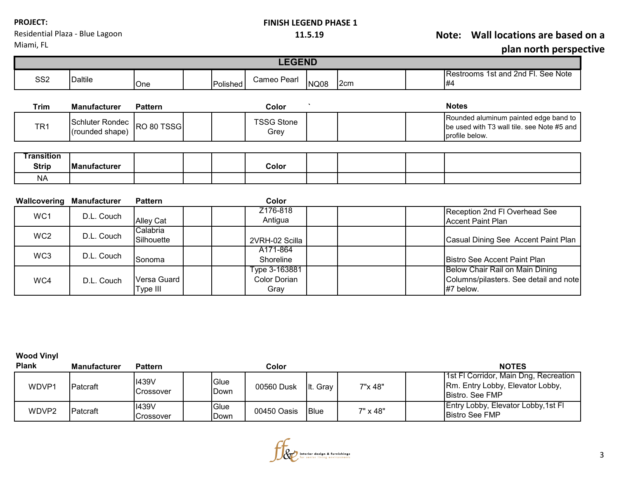| <b>PROJECT:</b> |
|-----------------|
|-----------------|

### **FINISH LEGEND PHASE 1**

**11.5.19 Note: Wall locations are based on a** 

Residential Plaza - Blue Lagoon Miami, FL

| SS <sub>2</sub>   | <b>Daltile</b>                                | One            | Polished | Cameo Pearl               | <b>NQ08</b> | 2cm | Restrooms 1st and 2nd Fl. See Note<br>#4                                                              |
|-------------------|-----------------------------------------------|----------------|----------|---------------------------|-------------|-----|-------------------------------------------------------------------------------------------------------|
| <b>Trim</b>       | <b>Manufacturer</b>                           | <b>Pattern</b> |          | Color                     |             |     | <b>Notes</b>                                                                                          |
| TR <sub>1</sub>   | Schluter Rondec RO 80 TSSG<br>(rounded shape) |                |          | <b>TSSG Stone</b><br>Grey |             |     | Rounded aluminum painted edge band to<br>be used with T3 wall tile, see Note #5 and<br>profile below. |
| <b>Transition</b> |                                               |                |          |                           |             |     |                                                                                                       |
| <b>Strip</b>      | Manufacturer                                  |                |          | Color                     |             |     |                                                                                                       |
| <b>NA</b>         |                                               |                |          |                           |             |     |                                                                                                       |

| Wallcovering    | Manufacturer | <b>Pattern</b>          | Color                                 |                                                                                        |
|-----------------|--------------|-------------------------|---------------------------------------|----------------------------------------------------------------------------------------|
| WC1             | D.L. Couch   | <b>Alley Cat</b>        | Z176-818<br>Antigua                   | Reception 2nd FI Overhead See<br><b>Accent Paint Plan</b>                              |
| WC <sub>2</sub> | D.L. Couch   | Calabria<br>Silhouette  | 2VRH-02 Scilla                        | Casual Dining See Accent Paint Plan                                                    |
| WC3             | D.L. Couch   | <b>Sonoma</b>           | A171-864<br>Shoreline                 | <b>IBistro See Accent Paint Plan</b>                                                   |
| WC4             | D.L. Couch   | Versa Guard<br>Type III | Type 3-163881<br>Color Dorian<br>Gray | Below Chair Rail on Main Dining<br>Columns/pilasters. See detail and note<br>#7 below. |

**Wood Vinyl** 

| <b>Plank</b> | <b>Manufacturer</b> | <b>Pattern</b>            |              | Color       |             |          | <b>NOTES</b>                                                                                 |
|--------------|---------------------|---------------------------|--------------|-------------|-------------|----------|----------------------------------------------------------------------------------------------|
| WDVP1        | <b>IPatcraft</b>    | <b>I439V</b><br>Crossover | Glue<br>Down | 00560 Dusk  | It. Gray    | 7"x 48"  | 1st FI Corridor, Main Dng, Recreation<br>Rm. Entry Lobby, Elevator Lobby,<br>Bistro, See FMP |
| WDVP2        | Patcraft            | <b>I439V</b><br>Crossover | Glue<br>Down | 00450 Oasis | <b>Blue</b> | 7" x 48" | Entry Lobby, Elevator Lobby, 1st Fl<br><b>Bistro See FMP</b>                                 |

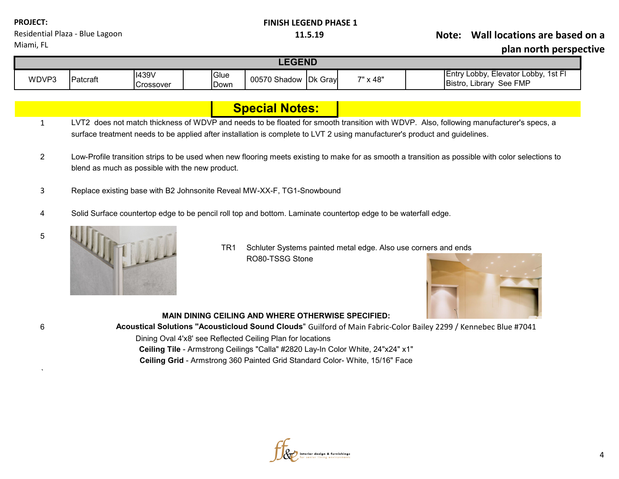| <b>PROJECT:</b>                 |  |
|---------------------------------|--|
| Residential Plaza - Blue Lagoon |  |
| Miami, FL                       |  |

## **FINISH LEGEND PHASE 1**

## **11.5.19 Note: Wall locations are based on a**

**plan north perspective**

| <b>EGEND</b> |                 |              |      |                      |  |          |                                                |                                     |  |
|--------------|-----------------|--------------|------|----------------------|--|----------|------------------------------------------------|-------------------------------------|--|
| WDVP3        | <b>Patcraft</b> | <b>I439V</b> | Glue | 00570 Shadow Dk Gray |  | 7" x 48" | , Elevator Lobby, 1st Fl<br>IEntrv I<br>Lobby. |                                     |  |
|              |                 | Crossover    | Down |                      |  |          |                                                | See FMP<br><b>Bistro</b><br>∟ibrarv |  |

|   | <b>Special Notes:</b>                                                                                                                                                                                                                                                |  |  |  |  |  |
|---|----------------------------------------------------------------------------------------------------------------------------------------------------------------------------------------------------------------------------------------------------------------------|--|--|--|--|--|
|   | LVT2 does not match thickness of WDVP and needs to be floated for smooth transition with WDVP. Also, following manufacturer's specs, a<br>surface treatment needs to be applied after installation is complete to LVT 2 using manufacturer's product and guidelines. |  |  |  |  |  |
| 2 | Low-Profile transition strips to be used when new flooring meets existing to make for as smooth a transition as possible with color selections to<br>blend as much as possible with the new product.                                                                 |  |  |  |  |  |
| 3 | Replace existing base with B2 Johnsonite Reveal MW-XX-F, TG1-Snowbound                                                                                                                                                                                               |  |  |  |  |  |
| 4 | Solid Surface countertop edge to be pencil roll top and bottom. Laminate countertop edge to be waterfall edge.                                                                                                                                                       |  |  |  |  |  |
| 5 |                                                                                                                                                                                                                                                                      |  |  |  |  |  |



`

TR1 Schluter Systems painted metal edge. Also use corners and ends RO80-TSSG Stone



# **MAIN DINING CEILING AND WHERE OTHERWISE SPECIFIED:**

6 **Acoustical Solutions "Acousticloud Sound Clouds**" Guilford of Main Fabric-Color Bailey 2299 / Kennebec Blue #7041

Dining Oval 4'x8' see Reflected Ceiling Plan for locations

**Ceiling Tile** - Armstrong Ceilings "Calla" #2820 Lay-In Color White, 24"x24" x1" **Ceiling Grid** - Armstrong 360 Painted Grid Standard Color- White, 15/16" Face